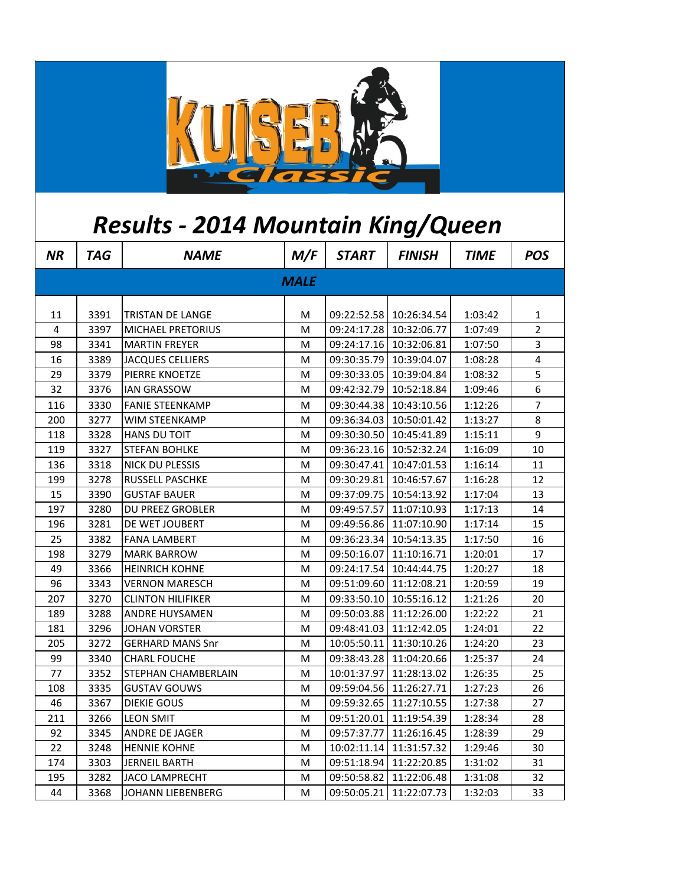

## *Results - 2014 Mountain King/Queen*

| <b>NR</b>   | <b>TAG</b> | <b>NAME</b>              | M/F | <b>START</b> | <b>FINISH</b>             | <b>TIME</b> | <b>POS</b>              |  |
|-------------|------------|--------------------------|-----|--------------|---------------------------|-------------|-------------------------|--|
| <b>MALE</b> |            |                          |     |              |                           |             |                         |  |
| 11          | 3391       | TRISTAN DE LANGE         | М   |              | 09:22:52.58   10:26:34.54 | 1:03:42     | 1                       |  |
| 4           | 3397       | MICHAEL PRETORIUS        | M   |              | 09:24:17.28 10:32:06.77   | 1:07:49     | $\overline{2}$          |  |
| 98          | 3341       | <b>MARTIN FREYER</b>     | м   |              | 09:24:17.16   10:32:06.81 | 1:07:50     | 3                       |  |
| 16          | 3389       | <b>JACQUES CELLIERS</b>  | м   |              | 09:30:35.79   10:39:04.07 | 1:08:28     | $\overline{\mathbf{4}}$ |  |
| 29          | 3379       | PIERRE KNOETZE           | M   |              | 09:30:33.05   10:39:04.84 | 1:08:32     | 5                       |  |
| 32          | 3376       | IAN GRASSOW              | M   | 09:42:32.79  | 10:52:18.84               | 1:09:46     | 6                       |  |
| 116         | 3330       | <b>FANIE STEENKAMP</b>   | Μ   | 09:30:44.38  | 10:43:10.56               | 1:12:26     | $\overline{7}$          |  |
| 200         | 3277       | WIM STEENKAMP            | М   |              | 09:36:34.03   10:50:01.42 | 1:13:27     | 8                       |  |
| 118         | 3328       | HANS DU TOIT             | М   |              | 09:30:30.50   10:45:41.89 | 1:15:11     | 9                       |  |
| 119         | 3327       | <b>STEFAN BOHLKE</b>     | Μ   |              | 09:36:23.16 10:52:32.24   | 1:16:09     | 10                      |  |
| 136         | 3318       | NICK DU PLESSIS          | М   | 09:30:47.41  | 10:47:01.53               | 1:16:14     | 11                      |  |
| 199         | 3278       | <b>RUSSELL PASCHKE</b>   | м   | 09:30:29.81  | 10:46:57.67               | 1:16:28     | 12                      |  |
| 15          | 3390       | <b>GUSTAF BAUER</b>      | Μ   | 09:37:09.75  | 10:54:13.92               | 1:17:04     | 13                      |  |
| 197         | 3280       | DU PREEZ GROBLER         | M   | 09:49:57.57  | 11:07:10.93               | 1:17:13     | 14                      |  |
| 196         | 3281       | DE WET JOUBERT           | Μ   |              | 09:49:56.86 11:07:10.90   | 1:17:14     | 15                      |  |
| 25          | 3382       | <b>FANA LAMBERT</b>      | Μ   | 09:36:23.34  | 10:54:13.35               | 1:17:50     | 16                      |  |
| 198         | 3279       | <b>MARK BARROW</b>       | м   | 09:50:16.07  | 11:10:16.71               | 1:20:01     | 17                      |  |
| 49          | 3366       | <b>HEINRICH KOHNE</b>    | M   |              | 09:24:17.54 10:44:44.75   | 1:20:27     | 18                      |  |
| 96          | 3343       | <b>VERNON MARESCH</b>    | M   |              | 09:51:09.60 11:12:08.21   | 1:20:59     | 19                      |  |
| 207         | 3270       | <b>CLINTON HILIFIKER</b> | M   |              | 09:33:50.10   10:55:16.12 | 1:21:26     | 20                      |  |
| 189         | 3288       | ANDRE HUYSAMEN           | M   |              | 09:50:03.88 11:12:26.00   | 1:22:22     | 21                      |  |
| 181         | 3296       | JOHAN VORSTER            | M   |              | 09:48:41.03   11:12:42.05 | 1:24:01     | 22                      |  |
| 205         | 3272       | <b>GERHARD MANS Snr</b>  | м   | 10:05:50.11  | 11:30:10.26               | 1:24:20     | 23                      |  |
| 99          | 3340       | <b>CHARL FOUCHE</b>      | Μ   |              | 09:38:43.28 11:04:20.66   | 1:25:37     | 24                      |  |
| 77          | 3352       | STEPHAN CHAMBERLAIN      | Μ   | 10:01:37.97  | 11:28:13.02               | 1:26:35     | 25                      |  |
| 108         | 3335       | <b>GUSTAV GOUWS</b>      | м   | 09:59:04.56  | 11:26:27.71               | 1:27:23     | 26                      |  |
| 46          | 3367       | <b>DIEKIE GOUS</b>       | M   | 09:59:32.65  | 11:27:10.55               | 1:27:38     | 27                      |  |
| 211         | 3266       | LEON SMIT                | M   | 09:51:20.01  | 11:19:54.39               | 1:28:34     | 28                      |  |
| 92          | 3345       | ANDRE DE JAGER           | M   | 09:57:37.77  | 11:26:16.45               | 1:28:39     | 29                      |  |
| 22          | 3248       | <b>HENNIE KOHNE</b>      | Μ   | 10:02:11.14  | 11:31:57.32               | 1:29:46     | 30                      |  |
| 174         | 3303       | JERNEIL BARTH            | м   | 09:51:18.94  | 11:22:20.85               | 1:31:02     | 31                      |  |
| 195         | 3282       | JACO LAMPRECHT           | Μ   | 09:50:58.82  | 11:22:06.48               | 1:31:08     | 32                      |  |
| 44          | 3368       | JOHANN LIEBENBERG        | Μ   | 09:50:05.21  | 11:22:07.73               | 1:32:03     | 33                      |  |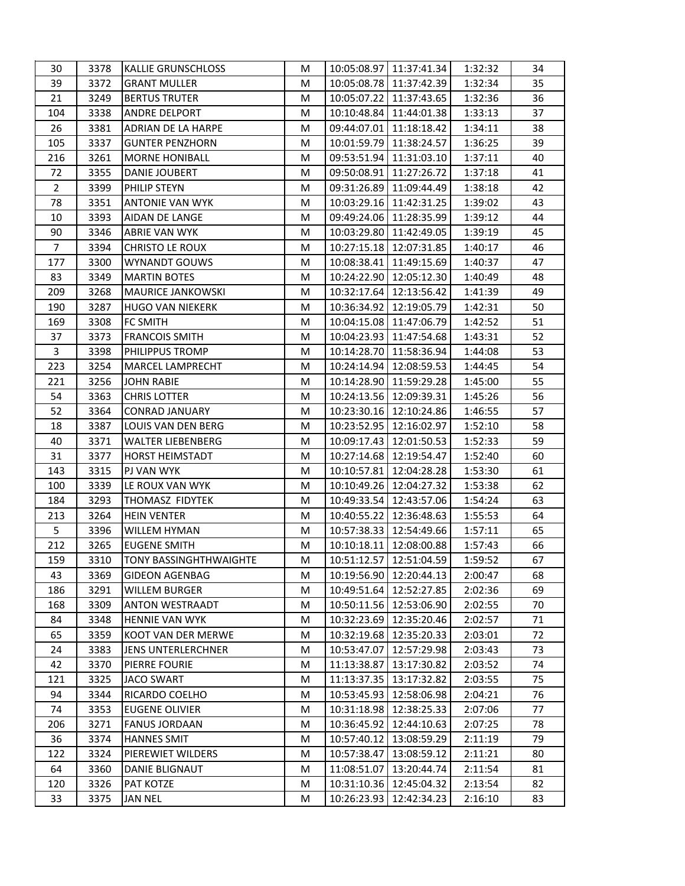| 30             | 3378 | <b>KALLIE GRUNSCHLOSS</b>     | M | 10:05:08.97 11:37:41.34    | 1:32:32 | 34 |
|----------------|------|-------------------------------|---|----------------------------|---------|----|
| 39             | 3372 | <b>GRANT MULLER</b>           | M | 10:05:08.78   11:37:42.39  | 1:32:34 | 35 |
| 21             | 3249 | <b>BERTUS TRUTER</b>          | M | 10:05:07.22 11:37:43.65    | 1:32:36 | 36 |
| 104            | 3338 | <b>ANDRE DELPORT</b>          | M | 10:10:48.84   11:44:01.38  | 1:33:13 | 37 |
| 26             | 3381 | <b>ADRIAN DE LA HARPE</b>     | М | 09:44:07.01   11:18:18.42  | 1:34:11 | 38 |
| 105            | 3337 | <b>GUNTER PENZHORN</b>        | M | 10:01:59.79<br>11:38:24.57 | 1:36:25 | 39 |
| 216            | 3261 | <b>MORNE HONIBALL</b>         | M | 09:53:51.94<br>11:31:03.10 | 1:37:11 | 40 |
| 72             | 3355 | <b>DANIE JOUBERT</b>          | М | 09:50:08.91<br>11:27:26.72 | 1:37:18 | 41 |
| $\overline{2}$ | 3399 | PHILIP STEYN                  | М | 09:31:26.89 11:09:44.49    | 1:38:18 | 42 |
| 78             | 3351 | <b>ANTONIE VAN WYK</b>        | М | 10:03:29.16 11:42:31.25    | 1:39:02 | 43 |
| 10             | 3393 | AIDAN DE LANGE                | M | 09:49:24.06   11:28:35.99  | 1:39:12 | 44 |
| 90             | 3346 | ABRIE VAN WYK                 | M | 10:03:29.80 11:42:49.05    | 1:39:19 | 45 |
| $\overline{7}$ | 3394 | CHRISTO LE ROUX               | M | 10:27:15.18 12:07:31.85    | 1:40:17 | 46 |
| 177            | 3300 | WYNANDT GOUWS                 | М | 10:08:38.41<br>11:49:15.69 | 1:40:37 | 47 |
| 83             | 3349 | <b>MARTIN BOTES</b>           | M | 10:24:22.90 12:05:12.30    | 1:40:49 | 48 |
| 209            | 3268 | <b>MAURICE JANKOWSKI</b>      | М | 10:32:17.64<br>12:13:56.42 | 1:41:39 | 49 |
| 190            | 3287 | <b>HUGO VAN NIEKERK</b>       | М | 10:36:34.92 12:19:05.79    | 1:42:31 | 50 |
| 169            | 3308 | <b>FC SMITH</b>               | M | 10:04:15.08   11:47:06.79  | 1:42:52 | 51 |
| 37             | 3373 | <b>FRANCOIS SMITH</b>         | М | 10:04:23.93 11:47:54.68    | 1:43:31 | 52 |
| $\mathbf{3}$   | 3398 | PHILIPPUS TROMP               | M | 10:14:28.70   11:58:36.94  | 1:44:08 | 53 |
| 223            | 3254 | MARCEL LAMPRECHT              | M | 10:24:14.94<br>12:08:59.53 | 1:44:45 | 54 |
| 221            | 3256 | <b>JOHN RABIE</b>             | M | 10:14:28.90 11:59:29.28    | 1:45:00 | 55 |
| 54             | 3363 | CHRIS LOTTER                  | М | 10:24:13.56 12:09:39.31    | 1:45:26 | 56 |
| 52             | 3364 | <b>CONRAD JANUARY</b>         | М | 10:23:30.16 12:10:24.86    | 1:46:55 | 57 |
| 18             | 3387 | LOUIS VAN DEN BERG            | М | 10:23:52.95   12:16:02.97  | 1:52:10 | 58 |
| 40             | 3371 | WALTER LIEBENBERG             | М | 10:09:17.43 12:01:50.53    | 1:52:33 | 59 |
| 31             | 3377 | <b>HORST HEIMSTADT</b>        | М | 10:27:14.68 12:19:54.47    | 1:52:40 | 60 |
| 143            | 3315 | PJ VAN WYK                    | М | 10:10:57.81   12:04:28.28  | 1:53:30 | 61 |
| 100            | 3339 | LE ROUX VAN WYK               | M | 10:10:49.26   12:04:27.32  | 1:53:38 | 62 |
| 184            | 3293 | THOMASZ FIDYTEK               | М | 10:49:33.54<br>12:43:57.06 | 1:54:24 | 63 |
| 213            | 3264 | <b>HEIN VENTER</b>            | M | 10:40:55.22<br>12:36:48.63 | 1:55:53 | 64 |
| 5              | 3396 | WILLEM HYMAN                  | М | 10:57:38.33   12:54:49.66  | 1:57:11 | 65 |
| 212            | 3265 | <b>EUGENE SMITH</b>           | М | 10:10:18.11<br>12:08:00.88 | 1:57:43 | 66 |
| 159            | 3310 | <b>TONY BASSINGHTHWAIGHTE</b> | М | 10:51:12.57   12:51:04.59  | 1:59:52 | 67 |
| 43             | 3369 | <b>GIDEON AGENBAG</b>         | М | 10:19:56.90   12:20:44.13  | 2:00:47 | 68 |
| 186            | 3291 | <b>WILLEM BURGER</b>          | M | 10:49:51.64 12:52:27.85    | 2:02:36 | 69 |
| 168            | 3309 | <b>ANTON WESTRAADT</b>        | M | 10:50:11.56   12:53:06.90  | 2:02:55 | 70 |
| 84             | 3348 | <b>HENNIE VAN WYK</b>         | M | 10:32:23.69<br>12:35:20.46 | 2:02:57 | 71 |
| 65             | 3359 | KOOT VAN DER MERWE            | М | 10:32:19.68 12:35:20.33    | 2:03:01 | 72 |
| 24             | 3383 | JENS UNTERLERCHNER            | М | 10:53:47.07<br>12:57:29.98 | 2:03:43 | 73 |
| 42             | 3370 | PIERRE FOURIE                 | M | 11:13:38.87<br>13:17:30.82 | 2:03:52 | 74 |
| 121            | 3325 | <b>JACO SWART</b>             | М | 11:13:37.35   13:17:32.82  | 2:03:55 | 75 |
| 94             | 3344 | RICARDO COELHO                | M | 10:53:45.93<br>12:58:06.98 | 2:04:21 | 76 |
| 74             | 3353 | <b>EUGENE OLIVIER</b>         | M | 10:31:18.98 12:38:25.33    | 2:07:06 | 77 |
| 206            | 3271 | <b>FANUS JORDAAN</b>          | M | 10:36:45.92   12:44:10.63  | 2:07:25 | 78 |
| 36             | 3374 | <b>HANNES SMIT</b>            | M | 10:57:40.12<br>13:08:59.29 | 2:11:19 | 79 |
| 122            | 3324 | PIEREWIET WILDERS             | M | 10:57:38.47<br>13:08:59.12 | 2:11:21 | 80 |
| 64             | 3360 | DANIE BLIGNAUT                | М | 11:08:51.07<br>13:20:44.74 | 2:11:54 | 81 |
| 120            | 3326 | PAT KOTZE                     | М | 10:31:10.36 12:45:04.32    | 2:13:54 | 82 |
| 33             | 3375 | JAN NEL                       | М | 10:26:23.93<br>12:42:34.23 | 2:16:10 | 83 |